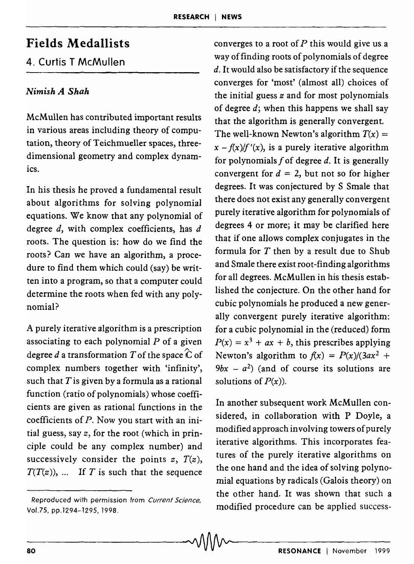## Fields Medallists

## 4. Curtis T McMullen

## *Nimish A Shah*

McMullen has contributed important results in various areas including theory of computation, theory of Teichmueller spaces, threedimensional geometry and complex dynamics.

In his thesis he proved a fundamental result about algorithms for solving polynomial equations. We know that any polynomial of degree  $d$ , with complex coefficients, has  $d$ roots. The question is: how do we find the roots? Can we have an algorithm, a procedure to find them which could (say) be written into a program, so that a computer could determine the roots when fed with any polynomial?

A purely iterative algorithm is a prescription associating to each polynomial *P* of a given degree d a transformation T of the space  $\hat{C}$  of complex numbers together with 'infinity', such that  $T$  is given by a formula as a rational function (ratio of polynomials) whose coefficients are given as rational functions in the coefficients of *P.* Now you start with an initial guess, say *z,* for the root (which in principle could be any complex number) and successively consider the points  $z$ ,  $T(z)$ ,  $T(T(z))$ , ... If T is such that the sequence

converges to a root of  $P$  this would give us a way of finding roots of polynomials of degree  $d$ . It would also be satisfactory if the sequence converges for 'most' (almost all) choices of the initial guess *z* and for most polynomials of degree  $d$ ; when this happens we shall say that the algorithm is generally convergent. The well-known Newton's algorithm  $T(x) =$  $x - f(x)/f'(x)$ , is a purely iterative algorithm for polynomials  $f$  of degree  $d$ . It is generally convergent for  $d = 2$ , but not so for higher degrees. It was conjectured by S Smale that there does not exist any generally convergent purely iterative algorithm for polynomials of degrees 4 or more; it may be clarified here that if one allows complex conjugates in the formula for  $T$  then by a result due to Shub and Smale there exist root-finding algorithms for all degrees. McMullen in his thesis established the conjecture. On the other hand for cubic polynomials he produced a new generally convergent purely iterative algorithm: for a cubic polynomial in the (reduced) form  $P(x) = x^3 + ax + b$ , this prescribes applying Newton's algorithm to  $f(x) = P(x)/(3ax^2 +$  $9bx - a^2$  (and of course its solutions are solutions of  $P(x)$ ).

In another subsequent work McMullen considered, in collaboration with P Doyle, a modified approach involving towers of purely iterative algorithms. This incorporates features of the purely iterative algorithms on the one hand and the idea of solving polynomial equations by radicals (Galois theory) on the other hand. It was shown that such a modified procedure can be applied success-

Reproduced with permission from Current Science, Vol.75, pp.1294-1295, 1998.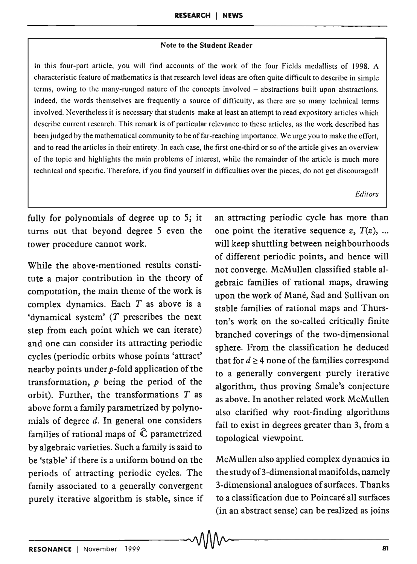## Note to the Student Reader

In this four-part article, you will find accounts of the work of the four Fields medallists of 1998. A characteristic feature of mathematics is that research level ideas are often quite difficult to describe in simple terms, owing to the many-runged nature of the concepts involved - abstractions built upon abstractions. Indeed, the words themselves are frequently a source of difficulty, as there are so many technical terms involved. Nevertheless it is necessary that students make at least an attempt to read expository articles which describe current research. This remark is of particular relevance to these articles, as the work described has been judged by the mathematical community to be of far-reaching importance. We urge you to make the effort, and to read the articles in their entirety. In each case, the first one-third or so of the article gives an overview of the topic and highlights the main problems of interest, while the remainder of the article is much more technical and specific. Therefore, if you find yourself in difficulties over the pieces, do not get discouraged!

*Editors* 

fully for polynomials of degree up to 5; it turns out that beyond degree 5 even the tower procedure cannot work.

While the above-mentioned results constitute a major contribution in the theory of computation, the main theme of the work is complex dynamics. Each *T* as above is a 'dynamical system'  $(T$  prescribes the next step from each point which we can iterate) and one can consider its attracting periodic cycles (periodic orbits whose points 'attract' nearby points under  $p$ -fold application of the transformation, *p* being the period of the orbit). Further, the transformations *T* as above form a family parametrized by polynomials of degree  $d$ . In general one considers families of rational maps of  $\hat{C}$  parametrized by algebraic varieties. Such a family is said to be 'stable' if there is a uniform bound on the McMullen also applied complex dynamics in periods of attracting periodic cycles. The the study of 3-dimensional manifolds, namely family associated to a generally convergent 3-dimensional analogues of surfaces. Thanks purely iterative algorithm is stable, since if to a classification due to Poincaré all surfaces

an attracting periodic cycle has more than one point the iterative sequence  $z, T(z)$ , ... will keep shuttling between neighbourhoods of different periodic points, and hence will not converge. McMullen classified stable algebraic families of rational maps, drawing upon the work of Mane, Sad and Sullivan on stable families of rational maps and Thurston's work on the so-called critically finite branched coverings of the two-dimensional sphere. From the classification he deduced that for  $d \geq 4$  none of the families correspond to a generally convergent purely iterative algorithm, thus proving Smale's conjecture as above. In another related work McMullen also clarified why root-finding algorithms fail to exist in degrees greater than 3, from a topological viewpoint.

(in an abstract sense) can be realized as joins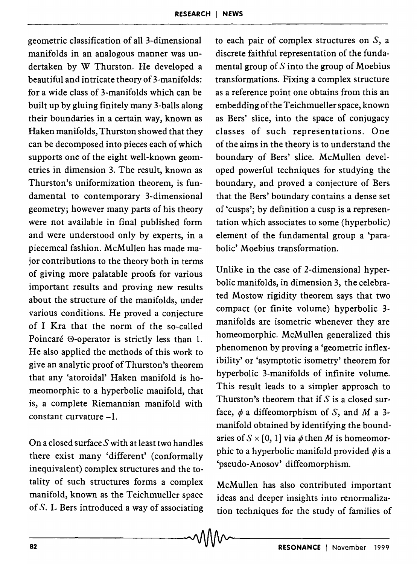geometric classification of all 3-dimensional manifolds in an analogous manner was undertaken by W Thurston. He developed a beautiful and intricate theory of 3-manifolds: for a wide class of 3-manifolds which can be built up by gluing finitely many 3-balls along their boundaries in a certain way, known as Haken manifolds, Thurston showed that they can be decomposed into pieces each of which supports one of the eight well-known geometries in dimension 3. The result, known as Thurston's uniformization theorem, is fundamental to contemporary 3-dimensional geometry; however many parts of his theory were not available in final published form and were understood only by experts, in a piecemeal fashion. McMullen has made major contributions to the theory both in terms of giving more palatable proofs for various important results and proving new results about the structure of the manifolds, under various conditions. He proved a conjecture of I Kra that the norm of the so-called Poincaré  $\Theta$ -operator is strictly less than 1. He also applied the methods of this work to give an analytic proof of Thurston's theorem that any 'atoroidal' Haken manifold is homeomorphic to a hyperbolic manifold, that is, a complete Riemannian manifold with constant curvature -1.

On a closed surface  $S$  with at least two handles there exist many 'different' (conformally inequivalent) complex structures and the totality of such structures forms a complex manifold, known as the Teichmueller space of S. L Bers introduced a way of associating

to each pair of complex structures on  $S$ , a discrete faithful representation of the fundamental group of  $S$  into the group of Moebius transformations. Fixing a complex structure as a reference point one obtains from this an embedding of the Teichmueller space, known as Bers' slice, into the space of conjugacy classes of such representations. One of the aims in the theory is to understand the boundary of Bers' slice. McMullen developed powerful techniques for studying the boundary, and proved a conjecture of Bers that the Bers' boundary contains a dense set of 'cusps'; by definition a cusp is a representation which associates to some (hyperbolic) element of the fundamental group a 'parabolic' Moebius transformation.

Unlike in the case of 2-dimensional hyperbolic manifolds, in dimension 3, the celebrated Mostow rigidity theorem says that two compact (or finite volume) hyperbolic 3 manifolds are isometric whenever they are homeomorphic. McMullen generalized this phenomenon by proving a 'geometric inflexibility' or 'asymptotic isometry' theorem for hyperbolic 3-manifolds of infinite volume. This result leads to a simpler approach to Thurston's theorem that if  $S$  is a closed surface,  $\phi$  a diffeomorphism of S, and M a 3manifold obtained by identifying the boundaries of  $S \times [0, 1]$  via  $\phi$  then M is homeomorphic to a hyperbolic manifold provided  $\phi$  is a 'pseudo-Anosov' diffeomorphism.

McMullen has also contributed important ideas and deeper insights into renormalization techniques for the study of families of